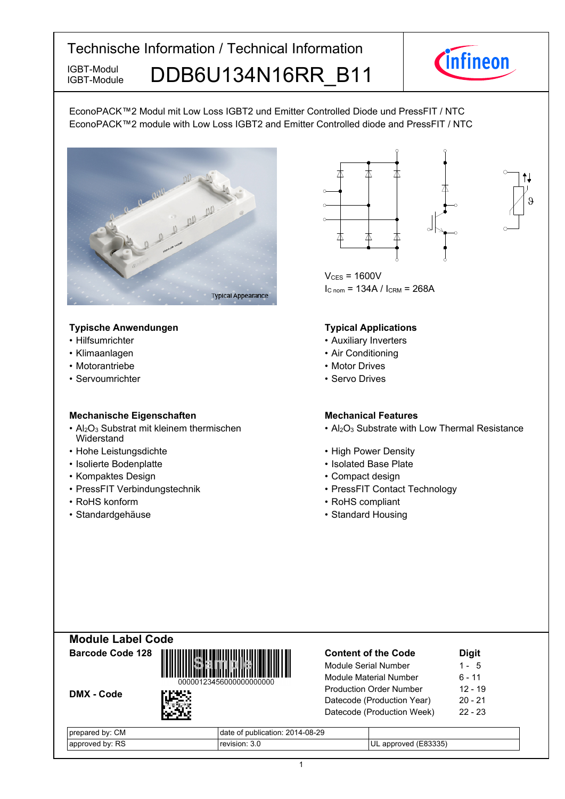IGBT-Module

IGBT-Module DDB6U134N16RR B11



EconoPACK™2 Modul mit Low Loss IGBT2 und Emitter Controlled Diode und PressFIT / NTC EconoPACK™2 module with Low Loss IGBT2 and Emitter Controlled diode and PressFIT / NTC



#### **Typische-Anwendungen Typical-**

- Hilfsumrichter
- $\cdot$  Klimaanlagen
- Motorantriebe
- Servoumrichter

#### **Mechanische Eigenschaften Mechanical-**

- $Al_2O_3$  Substrat mit kleinem thermischen **Widerstand**
- Hohe-Leistungsdichte High-
- Isolierte Bodenplatte Isolated
- Kompaktes Design
- PressFIT Verbindungstechnik PressFIT
- RoHS konform
- Standardgehäuse



 $\theta$ 

 $V_{CFS}$  = 1600V  $I_{C n o m}$  = 134A /  $I_{C RM}$  = 268A

#### **Typical Applications**

- Auxiliary Inverters
- Air Conditioning
- Motor Drives
- Servo Drives

#### **Mechanical Features**

- Al<sub>2</sub>O<sub>3</sub> Substrate with Low Thermal Resistance
- Power Density
- Base-Plate
- Design **begins and the Compact design Compact design** 
	- Contact Technology
- konform example and the set of the set of the RoHS compliant
	- Standard Housing

| <b>Module Label Code</b> |  |
|--------------------------|--|
|                          |  |

DMX - Code



| <b>Content of the Code</b>     | <b>Digit</b> |
|--------------------------------|--------------|
| Module Serial Number           | $1 - 5$      |
| <b>Module Material Number</b>  | 6 - 11       |
| <b>Production Order Number</b> | $12 - 19$    |
| Datecode (Production Year)     | $20 - 21$    |
| Datecode (Production Week)     | $22 - 23$    |
|                                |              |

| $\sim$<br>bv.<br>, pr<br>∪M<br>эa | )14-08-29<br>` publication: 20<br>date |     |
|-----------------------------------|----------------------------------------|-----|
| <b>RS</b>                         | $\sim$                                 | つつに |
| . hv:                             | ונ וה-ו                                | UL  |
| unroves.                          | v.v                                    | טטי |
| $\sim$                            | $\sim$                                 |     |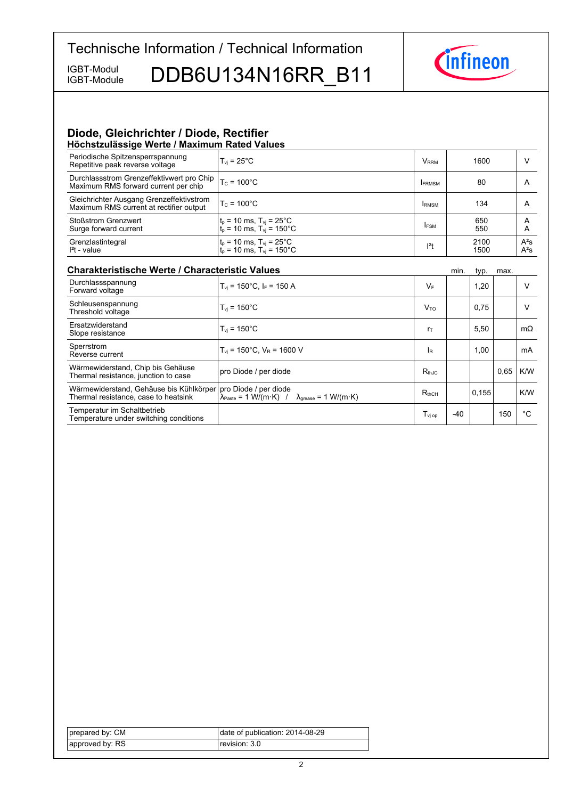IGBT-Module

IGBT-Module DDB6U134N16RR B11



## **Diode, Gleichrichter / Diode, Rectifier**

| Höchstzulässige Werte / Maximum Rated Values                                        |                                                                           |                         |              |                  |
|-------------------------------------------------------------------------------------|---------------------------------------------------------------------------|-------------------------|--------------|------------------|
| Periodische Spitzensperrspannung<br>Repetitive peak reverse voltage                 | $T_{vi}$ = 25 $^{\circ}$ C                                                | <b>V</b> <sub>RRM</sub> | 1600         |                  |
| Durchlassstrom Grenzeffektivwert pro Chip<br>Maximum RMS forward current per chip   | $T_c = 100^{\circ}$ C                                                     | <b>IFRMSM</b>           | 80           | A                |
| Gleichrichter Ausgang Grenzeffektivstrom<br>Maximum RMS current at rectifier output | $T_c = 100^{\circ}$ C                                                     | <b>IRMSM</b>            | 134          | A                |
| <b>Stoßstrom Grenzwert</b><br>Surge forward current                                 | $t_p$ = 10 ms, $T_{vj}$ = 25°C<br>$t_p = 10$ ms, $T_{vi} = 150^{\circ}$ C | <b>IFSM</b>             | 650<br>550   | A<br>A           |
| Grenzlastintegral<br>$l2$ t - value                                                 | $t_0$ = 10 ms, $T_{vi}$ = 25°C<br>$t_p = 10$ ms, $T_{vi} = 150^{\circ}$ C | $ ^{2}t$                | 2100<br>1500 | $A^2S$<br>$A^2S$ |

| <b>Charakteristische Werte / Characteristic Values</b>                          |                                                                                                                                                               | min.                                                | typ.  | max.  |      |           |
|---------------------------------------------------------------------------------|---------------------------------------------------------------------------------------------------------------------------------------------------------------|-----------------------------------------------------|-------|-------|------|-----------|
| Durchlassspannung<br>Forward voltage                                            | $T_{vi}$ = 150°C, I <sub>F</sub> = 150 A                                                                                                                      | $V_F$                                               |       | 1,20  |      | $\vee$    |
| Schleusenspannung<br>Threshold voltage                                          | $T_{vi}$ = 150 $^{\circ}$ C                                                                                                                                   | $V_{\text{TO}}$                                     |       | 0,75  |      | v         |
| Ersatzwiderstand<br>Slope resistance                                            | $T_{vi}$ = 150 $^{\circ}$ C                                                                                                                                   | $r_{\text{T}}$                                      |       | 5,50  |      | $m\Omega$ |
| Sperrstrom<br>Reverse current                                                   | $T_{vi}$ = 150°C, $V_R$ = 1600 V                                                                                                                              | <b>IR</b>                                           |       | 1,00  |      | mA        |
| Wärmewiderstand, Chip bis Gehäuse<br>Thermal resistance, junction to case       | pro Diode / per diode                                                                                                                                         | $R_{th,IC}$                                         |       |       | 0.65 | K/W       |
| Wärmewiderstand, Gehäuse bis Kühlkörper<br>Thermal resistance, case to heatsink | pro Diode / per diode<br>$\lambda_{\text{Paste}} = 1 \text{ W}/(\text{m} \cdot \text{K})$ / $\lambda_{\text{grease}} = 1 \text{ W}/(\text{m} \cdot \text{K})$ | $R_{thCH}$                                          |       | 0.155 |      | K/W       |
| Temperatur im Schaltbetrieb<br>Temperature under switching conditions           |                                                                                                                                                               | $\mathsf{T}_{\mathsf{v} \mathsf{j} \; \mathsf{op}}$ | $-40$ |       | 150  | °C        |

| prepared by: CM | date of publication: 2014-08-29 |
|-----------------|---------------------------------|
| approved by: RS | revision: 3.0 l                 |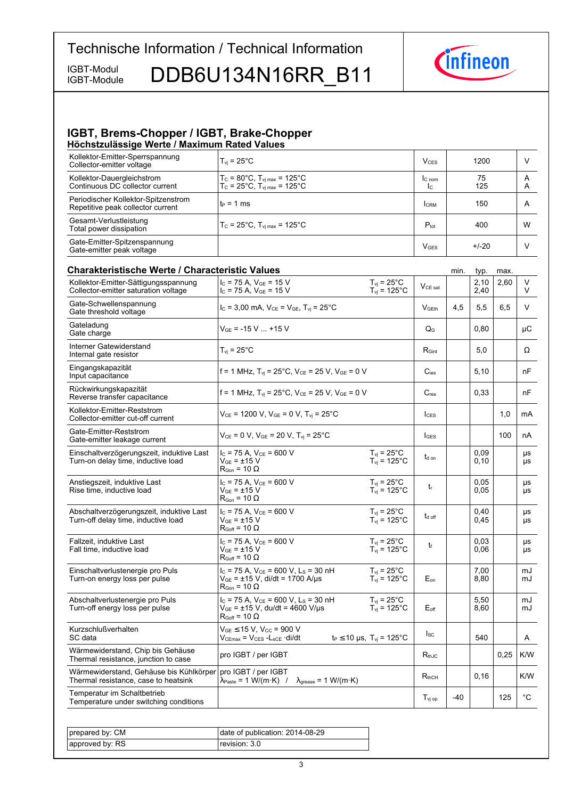IGBT-Module

IGBT-Module DDB6U134N16RR B11



#### **IGBT, Brems-Chopper / IGBT, Brake-Chopper Höchstzulässige-Werte-/-Maximum-Rated-Values**

| Kollektor-Emitter-Sperrspannung<br>Collector-emitter voltage             | $T_{\rm vi}$ = 25°C                                                                                    | $V_{CFS}$        | 1200      | V      |
|--------------------------------------------------------------------------|--------------------------------------------------------------------------------------------------------|------------------|-----------|--------|
| Kollektor-Dauergleichstrom<br>Continuous DC collector current            | $T_c$ = 80°C, $T_{\text{vj max}}$ = 125°C<br>$T_c = 25^{\circ}C$ , $T_{v1 \text{ max}} = 125^{\circ}C$ | $C_{nom}$<br>Ic. | 75<br>125 | A<br>A |
| Periodischer Kollektor-Spitzenstrom<br>Repetitive peak collector current | l t∍ = 1 ms                                                                                            | <b>CRM</b>       | 150       | A      |
| Gesamt-Verlustleistung<br>Total power dissipation                        | $T_c = 25^{\circ}$ C, $T_{\text{vi max}} = 125^{\circ}$ C                                              | $P_{\text{tot}}$ | 400       | W      |
| Gate-Emitter-Spitzenspannung<br>Gate-emitter peak voltage                |                                                                                                        | $V$ GES          | $+/-20$   |        |

#### **Charakteristische Werte / Characteristic Values Minited and Characteristic-** min. typ. max. Kollektor-Emitter-Sättigungsspannung Collector-emitter saturation voltage  $I_C$  = 75 A,  $V_{GE}$  = 15 V  $I_{C}$  = 75 A, V<sub>GE</sub> = 15 V<br> $I_{C}$  = 75 A, V<sub>GE</sub> = 15 V  $I_{Vj}$  = 125 °C  $\vert$  V<sub>CE sat</sub> 2,10  $2,40$  $2,60$  V V  $T_{vi}$  = 25 $^{\circ}$ C  $T_{vi} = 125$ °C Gate-Schwellenspannung Gate threshold  $V_{\text{C}} = 3,00 \text{ mA}, V_{\text{CE}} = V_{\text{GE}}$ ,  $T_{\text{vi}} = 25^{\circ}\text{C}$   $V_{\text{GEth}}$   $4,5$   $5,5$  6,5 V Gateladung Gate charge  $\begin{array}{c|c|c|c|c|c|c|c|c} \text{Cauchy} & & \text{O,80} & & \text{C} \ \text{Change} & & & \text{C} & & \text{C} \end{array}$ Interner Gatewiderstand Internal gate resistor  $T_{vj} = 25^\circ C$  R<sub>Gint</sub> 5,0  $\left[\begin{array}{c|c} R_{Gint} & 5,0 \end{array}\right]$   $\Omega$ Eingangskapazität Input capacitance capacitance f = 1 MHz, Tvj = 25°C, VCE = 25 V, VGE = 0 V <sup>C</sup>ies 5,10 nF Rückwirkungskapazität Reverse transfer  $f = 1 \text{ MHz}, T_{\text{vj}} = 25^{\circ}\text{C}, V_{\text{CE}} = 25 \text{ V}, V_{\text{GE}} = 0 \text{ V}$   $C_{\text{res}}$  0,33 nF Kollektor-Emitter-Reststrom Collector-emitter cut-off  $V_{CE}$  = 1200 V,  $V_{GE}$  = 0 V, T<sub>vj</sub> = 25°C  $\vert$   $\vert$ <sub>CES</sub>  $\vert$   $\vert$  1,0  $\vert$  mA Gate-Emitter-Reststrom Gate-emitter leakage  $V_{CE} = 0 \text{ V}, V_{GE} = 20 \text{ V}, T_{vj} = 25^{\circ}\text{C}$   $| \cdot |_{GES} |$  100 nA Einschaltverzögerungszeit, induktive Last Turn-on delay time, inductive load  $I_{C}$  = 75 A,  $V_{CF}$  = 600 V  $V_{GE} = \pm 15 \text{ V}$  $R_{\text{Gon}}$  = 10  $\Omega$ td on 0,09 0,10 µs µs  $T_{vi}$  = 25 $^{\circ}$ C  $T_{\text{vj}} = 125^{\circ}C$ Anstiegszeit, induktive Last Rise time, inductive load  $I_C = 75$  A,  $V_{CE} = 600$  V  $V_{GF}$  =  $\pm 15$  V  $R_{\text{Gon}} = 10 \Omega$ tr 0,05 0,05 µs µs  $T_{\text{vj}}$  = 25 $^{\circ}$ C  $T_{\text{vj}} = 125^{\circ}C$ Abschaltverzögerungszeit, induktive Last Turn-off delay time, inductive load  $I_{C}$  = 75 A,  $V_{CE}$  = 600 V  $V_{GE}$  =  $\pm 15$  V  $R_{Goff}$  = 10  $\Omega$ t<sub>d off</sub> 0,40 0,45 µs µs  $T_{vi}$  = 25 $^{\circ}$ C  $T_{\text{vj}} = 125^{\circ}$ C Fallzeit, induktive Last Fall time, inductive load  $I_C$  = 75 A,  $V_{CE}$  = 600 V  $V_{CE}$  =  $+15$  V  $R_{\text{Coff}} = 10 \Omega$  $t_f$ 0,03 0,06 µs µs  $T_{\text{vj}} = 25^{\circ} \text{C}$  $T_{\text{vj}} = 125^{\circ} \text{C}$ Einschaltverlustenergie pro Puls Turn-on energy loss per pulse  $I_c$  = 75 A,  $V_{CE}$  = 600 V, L<sub>S</sub> = 30 nH VGE = ±15 V, di/dt = 1700 A/µs  $R_{\text{Gon}} = 10 \Omega$  $F_{\alpha}$ 7,00 8.80 m. m.l  $T_{\rm vj}$  = 25°C  $T_{\rm vj}$  = 125°C Abschaltverlustenergie pro Puls Turn-off energy loss per pulse  $I_C$  = 75 A,  $V_{CE}$  = 600 V, L<sub>S</sub> = 30 nH  $V_{GE} = \pm 15 \text{ V}, \text{du/dt} = 4600 \text{ V/}\mu\text{s}$  $R_{Goff}$  = 10  $\Omega$  $F_{\alpha f}$ 5,50 8,60  $m<sub>l</sub>$ mJ  $T_{vi}$  = 25 $^{\circ}$ C  $T_{\text{vj}} = 125^{\circ} \text{C}$ Kurzschlußverhalten SC-data  $V_{GE} \le 15$  V,  $V_{CC} = 900$  V<br> $V_{CEmax} = V_{CES} - L_{sCE} \cdot di/dt$  $t_P$  ≤ 10 µs, T<sub>vj</sub> = 125°C  $\begin{vmatrix} \text{lsc} \\ \text{ } \end{vmatrix}$  540  $\begin{vmatrix} \text{ } & \text{ } \\ & \text{ } \end{vmatrix}$  A Wärmewiderstand, Chip bis Gehäuse warmewheredand, Only bis Ochause<br>Thermal resistance, junction to case IGBT / per  $R_{th,JC}$  0,25 K/W Wärmewiderstand, Gehäuse bis Kühlkörper Thermal resistance, case to heatsink pro-IGBT / per-IGBT  $\lambda_{\text{Paste}} = 1 \text{ W/(m·K)}$  /  $\lambda_{\text{grease}} = 1 \text{ W/(m·K)}$  R<sub>thCH</sub> 0,16 K/W Temperatur im Schaltbetrieb Temperature under switching conditions the conditions of  $\begin{array}{|c|c|c|c|c|}\hline \texttt{J}_\texttt{Vj\,op} & -40 & -125 & \texttt{°C} \ \hline \end{array}$

| prepared by: CM | date of publication: 2014-08-29 |
|-----------------|---------------------------------|
| approved by: RS | revision: 3.0                   |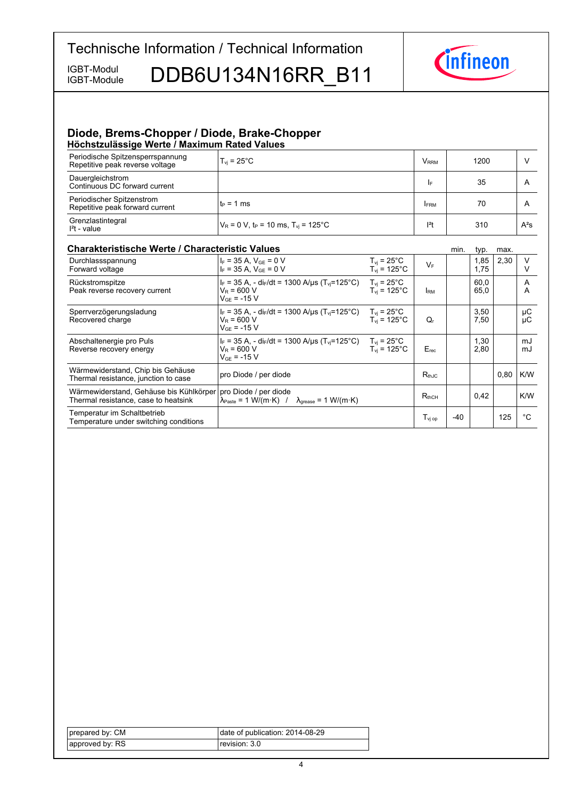IGBT-Module

IGBT-Module DDB6U134N16RR B11



#### **Diode, Brems-Chopper / Diode, Brake-Chopper Höchstzulässige-Werte-/-Maximum-Rated-Values**

| Periodische Spitzensperrspannung<br>Repetitive peak reverse voltage | $T_{\rm vi}$ = 25 $^{\circ}$ C                                | V <sub>rrm</sub> | 1200 |        |
|---------------------------------------------------------------------|---------------------------------------------------------------|------------------|------|--------|
| Dauergleichstrom<br>Continuous DC forward current                   |                                                               | I۴               | 35   | А      |
| Periodischer Spitzenstrom<br>Repetitive peak forward current        | lt∍ = 1 ms                                                    | <b>IFRM</b>      | 70   | А      |
| Grenzlastintegral<br>$l2t$ - value                                  | $V_R = 0 V$ , t <sub>P</sub> = 10 ms, T <sub>vj</sub> = 125°C | $12$ t           | 310  | $A^2S$ |

### **Charakteristische Werte / Characteristic**

| <b>Charakteristische Werte / Characteristic Values</b>                          |                                                                                                                                                 |                                                           |                    | min. | typ.         | max. |          |
|---------------------------------------------------------------------------------|-------------------------------------------------------------------------------------------------------------------------------------------------|-----------------------------------------------------------|--------------------|------|--------------|------|----------|
| Durchlassspannung<br>Forward voltage                                            | $I_F = 35$ A, $V_{GE} = 0$ V<br>$I_F = 35 A$ , $V_{GE} = 0 V$                                                                                   | $T_{vi}$ = 25°C<br>$T_{vi}$ = 125°C                       | $V_F$              |      | 1,85<br>1.75 | 2,30 | v        |
| Rückstromspitze<br>Peak reverse recovery current                                | $I_F = 35$ A, - di <sub>F</sub> /dt = 1300 A/us (T <sub>vi</sub> =125 <sup>°</sup> C)<br>$V_R$ = 600 V<br>$V_{GF} = -15 V$                      | $T_{\rm vi}$ = 25°C<br>$T_{\rm vi}$ = 125°C               | <b>IRM</b>         |      | 60.0<br>65,0 |      | A<br>A   |
| Sperrverzögerungsladung<br>Recovered charge                                     | $I_F = 35$ A, - di $_F/dt = 1300$ A/us (T <sub>vi</sub> =125 <sup>°</sup> C)<br>$V_R = 600 V$<br>$V_{GF}$ = -15 V                               | $T_{\rm vi}$ = 25 $^{\circ}$ C<br>$T_{\rm vi}$ = 125°C.   | $Q_{r}$            |      | 3,50<br>7,50 |      | μC<br>μC |
| Abschaltenergie pro Puls<br>Reverse recovery energy                             | $I_F = 35$ A, - dir/dt = 1300 A/us (T <sub>vi</sub> =125°C)<br>$V_R$ = 600 V<br>$V_{GF}$ = -15 V                                                | $T_{vi}$ = 25 $^{\circ}$ C<br>$T_{vi}$ = 125 $^{\circ}$ C | $E_{rec}$          |      | 1,30<br>2,80 |      | mJ<br>mJ |
| Wärmewiderstand, Chip bis Gehäuse<br>Thermal resistance, junction to case       | pro Diode / per diode                                                                                                                           |                                                           | $R_{thJC}$         |      |              | 0,80 | K/W      |
| Wärmewiderstand, Gehäuse bis Kühlkörper<br>Thermal resistance, case to heatsink | pro Diode / per diode<br>$\lambda_{\text{Paste}} = 1 \text{ W/(m} \cdot \text{K)}$ / $\lambda_{\text{grease}} = 1 \text{ W/(m} \cdot \text{K)}$ |                                                           | $R_{thCH}$         |      | 0,42         |      | K/W      |
| Temperatur im Schaltbetrieb<br>Temperature under switching conditions           |                                                                                                                                                 |                                                           | T <sub>vi op</sub> | -40  |              | 125  | °C       |

| prepared by: CM | date of publication: 2014-08-29 |
|-----------------|---------------------------------|
| approved by: RS | revision: 3.0 l                 |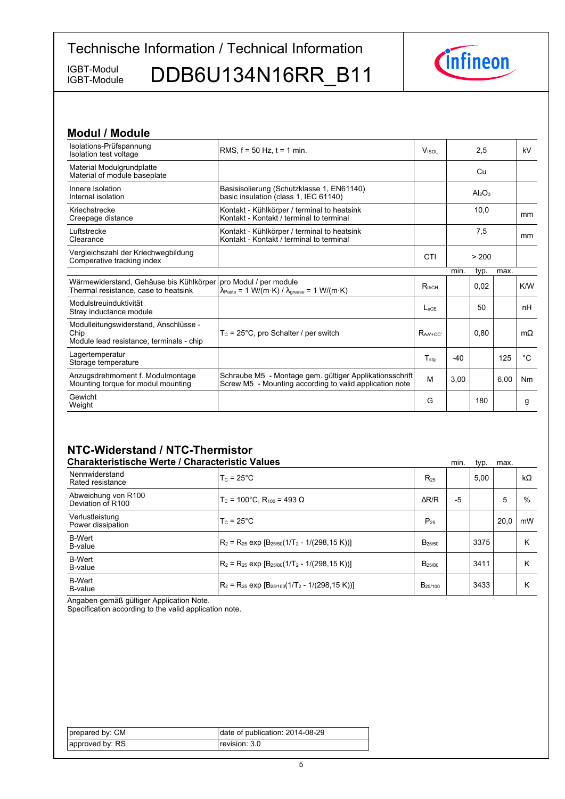IGBT-Module

IGBT-Module DDB6U134N16RR\_B11



| <b>Modul / Module</b>                                                                     |                                                                                                                                                |                  |       |                                |      |             |
|-------------------------------------------------------------------------------------------|------------------------------------------------------------------------------------------------------------------------------------------------|------------------|-------|--------------------------------|------|-------------|
| Isolations-Prüfspannung<br>Isolation test voltage                                         | RMS, $f = 50$ Hz, $t = 1$ min.                                                                                                                 | Visor            |       | 2,5                            |      | kV          |
| Material Modulgrundplatte<br>Material of module baseplate                                 |                                                                                                                                                |                  |       | Cu                             |      |             |
| Innere Isolation<br>Internal isolation                                                    | Basisisolierung (Schutzklasse 1, EN61140)<br>basic insulation (class 1, IEC 61140)                                                             |                  |       | Al <sub>2</sub> O <sub>3</sub> |      |             |
| Kriechstrecke<br>Creepage distance                                                        | Kontakt - Kühlkörper / terminal to heatsink<br>Kontakt - Kontakt / terminal to terminal                                                        |                  |       | 10,0                           |      | mm          |
| Luftstrecke<br>Clearance                                                                  | Kontakt - Kühlkörper / terminal to heatsink<br>Kontakt - Kontakt / terminal to terminal                                                        |                  |       | 7,5                            |      | mm          |
| Vergleichszahl der Kriechwegbildung<br>Comperative tracking index                         |                                                                                                                                                | CTI              |       | > 200                          |      |             |
|                                                                                           |                                                                                                                                                |                  | min.  | typ.                           | max. |             |
| Wärmewiderstand, Gehäuse bis Kühlkörper<br>Thermal resistance, case to heatsink           | pro Modul / per module<br>$\lambda_{\text{Paste}} = 1 \text{ W/(m} \cdot \text{K)} / \lambda_{\text{grease}} = 1 \text{ W/(m} \cdot \text{K)}$ | $R_{thCH}$       |       | 0.02                           |      | K/W         |
| Modulstreuinduktivität<br>Stray inductance module                                         |                                                                                                                                                | $L_{\rm{SCF}}$   |       | 50                             |      | nH          |
| Modulleitungswiderstand, Anschlüsse -<br>Chip<br>Module lead resistance, terminals - chip | $T_c$ = 25°C, pro Schalter / per switch                                                                                                        | $RaA + CC$       |       | 0.80                           |      | $m\Omega$   |
| Lagertemperatur<br>Storage temperature                                                    |                                                                                                                                                | $T_{\text{stg}}$ | $-40$ |                                | 125  | $^{\circ}C$ |
| Anzugsdrehmoment f. Modulmontage<br>Mounting torque for modul mounting                    | Schraube M5 - Montage gem. gültiger Applikationsschrift<br>Screw M5 - Mounting according to valid application note                             | M                | 3,00  |                                | 6,00 | Nm          |
| Gewicht<br>Weight                                                                         |                                                                                                                                                | G                |       | 180                            |      | g           |

## **NTC-Widerstand-/-NTC-Thermistor**

| <b>Charakteristische Werte / Characteristic Values</b> |                                                                |                     | min. | typ. | max. |           |
|--------------------------------------------------------|----------------------------------------------------------------|---------------------|------|------|------|-----------|
| Nennwiderstand<br>Rated resistance                     | $T_c = 25^{\circ}$ C                                           | $R_{25}$            |      | 5.00 |      | $k\Omega$ |
| Abweichung von R100<br>Deviation of R100               | $T_c$ = 100°C. R <sub>100</sub> = 493 Ω                        | $\Delta$ R/R        | -5   |      | 5    | %         |
| Verlustleistung<br>Power dissipation                   | $T_c = 25^{\circ}$ C                                           | $P_{25}$            |      |      | 20.0 | mW        |
| <b>B-Wert</b><br>B-value                               | $R_2 = R_{25}$ exp $[B_{25/50}(1/T_2 - 1/(298.15 \text{ K}))]$ | $B_{25/50}$         |      | 3375 |      | Κ         |
| <b>B-Wert</b><br>B-value                               | $R_2 = R_{25}$ exp $[B_{25/80}(1/T_2 - 1/(298.15 K))]$         | B <sub>25/80</sub>  |      | 3411 |      | ĸ         |
| <b>B-Wert</b><br>B-value                               | $R_2 = R_{25}$ exp $[B_{25/100}(1/T_2 - 1/(298, 15 K))]$       | B <sub>25/100</sub> |      | 3433 |      | κ         |

Angaben gemäß gültiger Application Note.

Specification according to the valid application note.

| prepared by: CM | date of publication: 2014-08-29 |
|-----------------|---------------------------------|
| approved by: RS | revision: 3.0                   |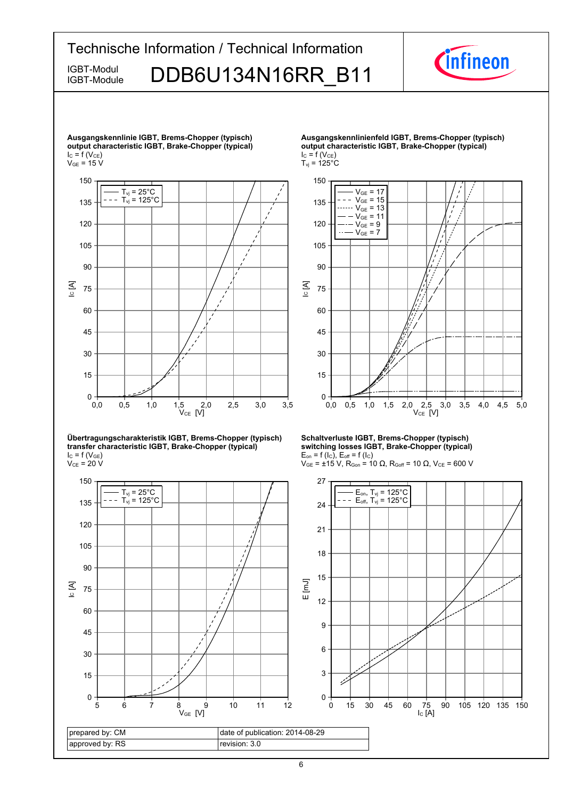

IC [A]

 $0 + 0$ <br>0,0

15

30

45

60

75

90

105

 $V_{\text{GE}} = 7$ 



**Übertragungscharakteristik-IGBT,-Brems-Chopper-(typisch) transfer-characteristic-IGBT,-Brake-Chopper-(typical)**  $I_{C}$  = f (V<sub>GE</sub>)

```
\rm V_{CE} = 20 V
```


**Schaltverluste IGBT, Brems-Chopper (typisch) switching-losses-IGBT,-Brake-Chopper-(typical)**  $E_{on}$  = f (l<sub>C</sub>),  $E_{off}$  = f (l<sub>C</sub>)

 $V_{CE}$  [V]

0,0 0,5 1,0 1,5 2,0 2,5 3,0 3,5 4,0 4,5 5,0



 $V_{GE}$  = ±15 V, R<sub>Gon</sub> = 10 Ω, R<sub>Goff</sub> = 10 Ω, V<sub>CE</sub> = 600 V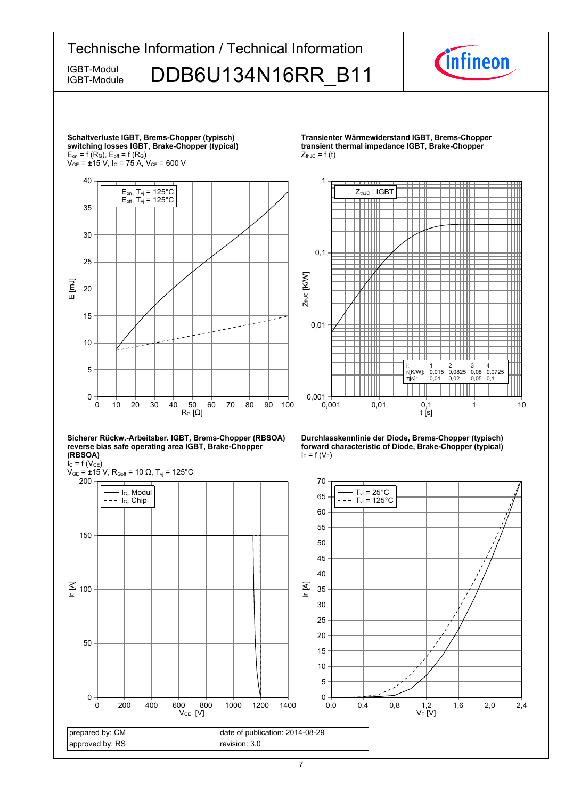

#### 7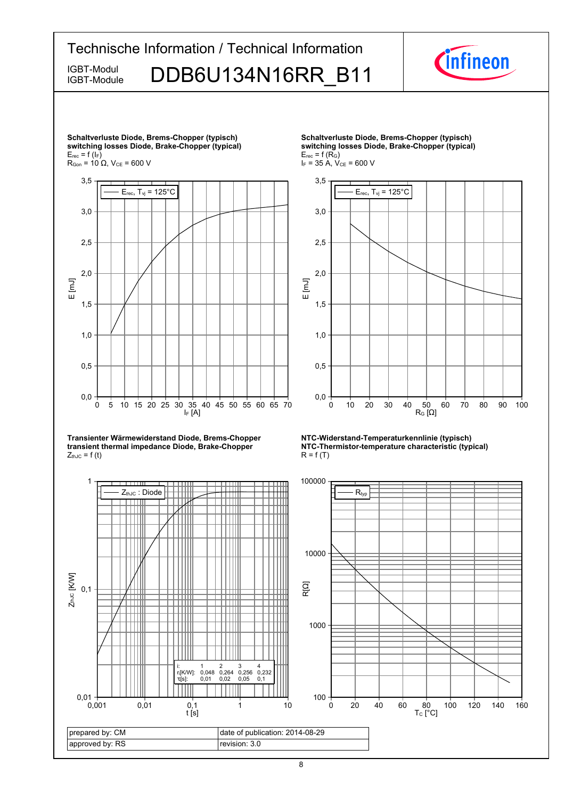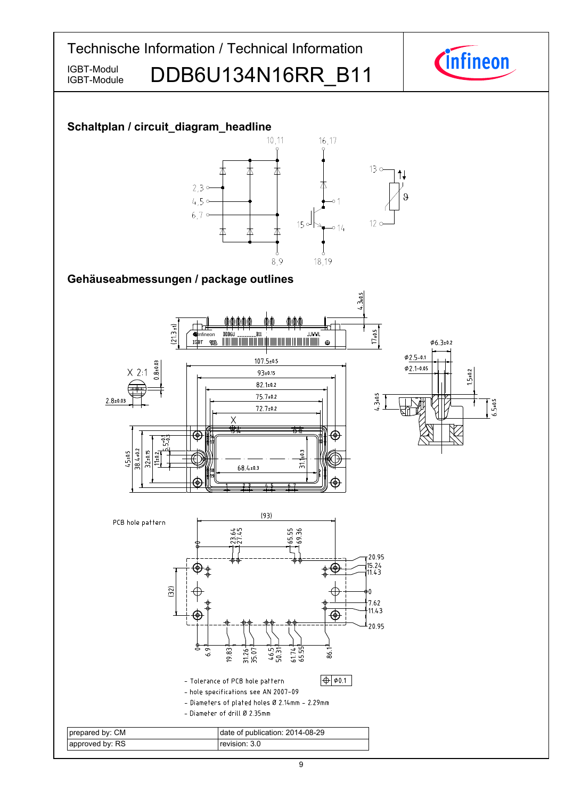